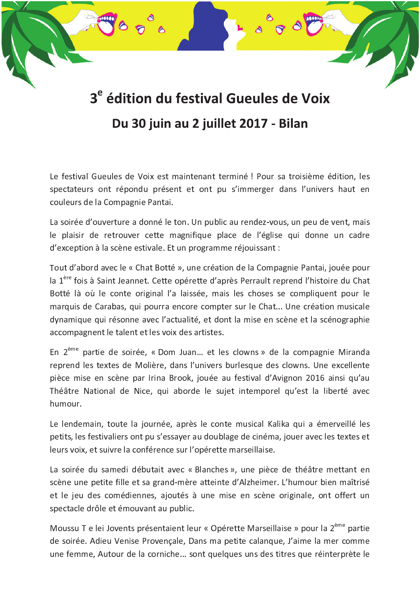## 3<sup>e</sup> édition du festival Gueules de Voix Du 30 juin au 2 juillet 2017 - Bilan

Le festival Gueules de Voix est maintenant terminé ! Pour sa troisième édition, les spectateurs ont répondu présent et ont pu s'immerger dans l'univers haut en couleurs de la Compagnie Pantai.

La soirée d'ouverture a donné le ton. Un public au rendez-vous, un peu de vent, mais le plaisir de retrouver cette magnifique place de l'église qui donne un cadre d'exception à la scène estivale. Et un programme réjouissant :

Tout d'abord avec le « Chat Botté », une création de la Compagnie Pantai, jouée pour la 1<sup>ère</sup> fois à Saint Jeannet. Cette opérette d'après Perrault reprend l'histoire du Chat Botté là où le conte original l'a laissée, mais les choses se compliquent pour le marquis de Carabas, qui pourra encore compter sur le Chat... Une création musicale dynamique qui résonne avec l'actualité, et dont la mise en scène et la scénographie accompagnent le talent et les voix des artistes.

En 2<sup>ème</sup> partie de soirée, « Dom Juan... et les clowns » de la compagnie Miranda reprend les textes de Molière, dans l'univers burlesque des clowns. Une excellente pièce mise en scène par Irina Brook, jouée au festival d'Avignon 2016 ainsi qu'au Théâtre National de Nice, qui aborde le suiet intemporel qu'est la liberté avec humour.

Le lendemain, toute la journée, après le conte musical Kalika qui a émerveillé les petits, les festivaliers ont pu s'essayer au doublage de cinéma, jouer avec les textes et leurs voix, et suivre la conférence sur l'opérette marseillaise.

La soirée du samedi débutait avec « Blanches », une pièce de théâtre mettant en scène une petite fille et sa grand-mère atteinte d'Alzheimer. L'humour bien maîtrisé et le jeu des comédiennes, ajoutés à une mise en scène originale, ont offert un spectacle drôle et émouvant au public.

Moussu T e lei Jovents présentaient leur « Opérette Marseillaise » pour la 2<sup>ème</sup> partie de soirée. Adieu Venise Provençale, Dans ma petite calanque, J'aime la mer comme une femme, Autour de la corniche... sont quelques uns des titres que réinterprète le